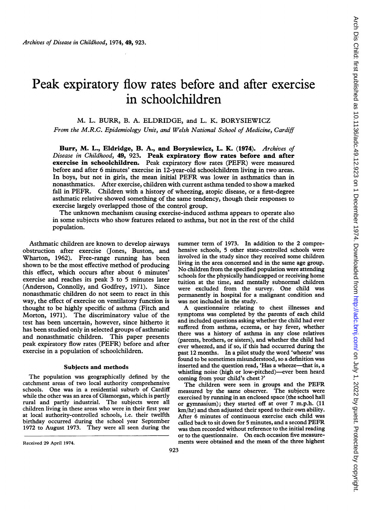# Peak expiratory flow rates before and after exercise in schoolchildren

M. L. BURR, B. A. ELDRIDGE, and L. K. BORYSIEWICZ

From the M.R.C. Epidemiology Unit, and Welsh National School of Medicine, Cardiff

Burr, M. L., Eldridge, B. A., and Borysiewicz, L. K. (1974). Archives of Disease in Childhood, 49, 923. Peak expiratory flow rates before and after exercise in schoolchildren. Peak expiratory flow rates (PEFR) were measured before and after 6 minutes' exercise in 12-year-old schoolchildren living in two areas. In boys, but not in girls, the mean initial PEFR was lower in asthmatics than in nonasthmatics. After exercise, children with current asthma tended to show a marked fall in PEFR. Children with <sup>a</sup> history of wheezing, atopic disease, or <sup>a</sup> first-degree asthmatic relative showed something of the same tendency, though their responses to exercise largely overlapped those of the control group.

The unknown mechanism causing exercise-induced asthma appears to operate also in some subjects who show features related to asthma, but not in the rest of the child population.

Asthmatic children are known to develop airways obstruction after exercise (Jones, Buston, and Wharton, 1962). Free-range running has been shown to be the most effective method of producing this effect, which occurs after about 6 minutes' exercise and reaches its peak 3 to 5 minutes later (Anderson, Connolly, and Godfrey, 1971). Since nonasthmatic children do not seem to react in this way, the effect of exercise on ventilatory function is thought to be highly specific of asthma (Fitch and Morton, 1971). The discriminatory value of the test has been uncertain, however, since hitherto it has been studied only in selected groups of asthmatic and nonasthmatic children. This paper presents peak expiratory flow rates (PEFR) before and after exercise in a population of schoolchildren.

### Subjects and methods

The population was geographically defined by the catchment areas of two local authority comprehensive schools. One was in a residential suburb of Cardiff while the other was an area of Glamorgan, which is partly rural and partly industrial. The subjects were all children living in these areas who were in their first year at local authority-controlled schools, i.e. their twelfth birthday occurred during the school year September 1972 to August 1973. They were all seen during the summer term of 1973. In addition to the 2 comprehensive schools, 5 other state-controlled schools were involved in the study since they received some children living in the area concerned and in the same age group. No children from the specified population were attending schools for the physically handicapped or receiving home tuition at the time, and mentally subnormal children were excluded from the survey. One child was permanently in hospital for a malignant condition and was not included in the study.

A questionnaire relating to chest illnesses and symptoms was completed by the parents of each child and included questions asking whether the child had ever suffered from asthma, eczema, or hay fever, whether there was a history of asthma in any close relatives (parents, brothers, or sisters), and whether the child had ever wheezed, and if so, if this had occurred during the past 12 months. In a pilot study the word 'wheeze' was found to be sometimes misunderstood, so a definition was inserted and the question read, 'Has a wheeze-that is, a whistling noise (high or low-pitched)—ever been heard coming from your child's chest?'

The children were seen in groups and the PEFR measured by the same observer. The subjects were exercised by running in an enclosed space (the school hall or gymnasium); they started off at over 7 m.p.h. (11 km/hr) and then adjusted their speed to their own ability. After 6 minutes of continuous exercise each child was called back to sit down for <sup>5</sup> minutes, and <sup>a</sup> second PEFR was then recorded without reference to the initial reading or to the questionnaire. On each occasion five measurements were obtained and the mean of the three highest

Received 29 April 1974.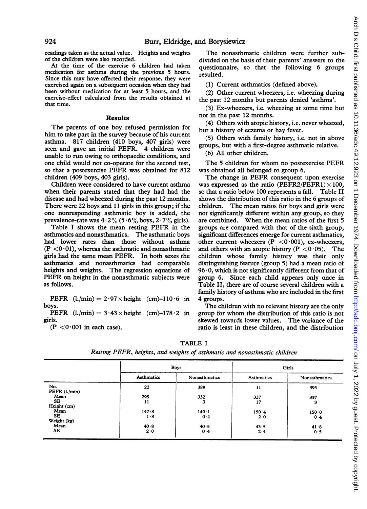readings taken as the actual value. Heights and weights of the children were also recorded.

At the time of the exercise 6 children had taken medication for asthma during the previous 5 hours. Since this may have affected their response, they were exercised again on a subsequent occasion when they had been without medication for at least 5 hours, and the exercise-effect calculated from the results obtained at that time.

### Results

The parents of one boy refused permission for him to take part in the survey because of his current asthma. 817 children (410 boys, 407 girls) were seen and gave an initial PEFR. 4 children were unable to run owing to orthopaedic conditions, and one child would not co-operate for the second test, so that <sup>a</sup> postexercise PEFR was obtained for 812 children (409 boys, 403 girls).

Children were considered to have current asthma when their parents stated that they had had the disease and had wheezed during the past 12 months. There were 22 boys and 11 girls in this group; if the one nonresponding asthmatic boy is added, the prevalence-rate was  $4.2\%$  (5.6% boys,  $2.7\%$  girls).

Table <sup>I</sup> shows the mean resting PEFR in the asthmatics and nonasthmatics. The asthmatic boys had lower rates than those without asthma  $(P < 0.01)$ , whereas the asthmatic and nonasthmatic girls had the same mean PEFR. In both sexes the asthmatics and nonasthmatics had comparable heights and weights. The regression equations of PEFR on height in the nonasthmatic subjects were as follows.

PEFR  $(l. / min) = 2.97 \times height$  (cm)-110.6 in boys.

PEFR  $(l./min) = 3.43 \times height$  (cm)-178.2 in girls.

 $(P < 0.001$  in each case).

The nonasthmatic children were further subdivided on the basis of their parents' answers to the questionnaire, so that the following 6 groups resulted.

(1) Current asthmatics (defined above).

(2) Other current wheezers, i.e. wheezing during the past 12 months but parents denied 'asthma'.

(3) Ex-wheezers, i.e. wheezing at some time but not in the past 12 months.

(4) Others with atopic history, i.e. never wheezed, but a history of eczema or hay fever.

(5) Others with family history, i.e. not in above groups, but with a first-degree asthmatic relative.

(6) All other children.

The <sup>5</sup> children for whom no postexercise PEFR was obtained all belonged to group 6.

The change in PEFR consequent upon exercise was expressed as the ratio (PEFR2/PEFR1)  $\times$  100, so that a ratio below 100 represents a fall. Table II shows the distribution of this ratio in the 6 groups of children. The mean ratios for boys and girls were not significantly different within any group, so they are combined. When the mean ratios of the first 5 groups are compared with that of the sixth group, significant differences emerge for current asthmatics, other current wheezers  $(P < 0.001)$ , ex-wheezers, and others with an atopic history ( $P < 0.05$ ). The children whose family history was their only distinguishing feature (group 5) had a mean ratio of  $96.0$ , which is not significantly different from that of group 6. Since each child appears only once in Table II, there are of course several children with a family history of asthma who are included in the first 4 groups.

The children with no relevant history are the only group for whom the distribution of this ratio is not skewed towards lower values. The variance of the ratio is least in these children, and the distribution

TABLE I

|                        | <b>Boys</b> |               | Girls       |               |
|------------------------|-------------|---------------|-------------|---------------|
|                        | Asthmatics  | Nonasthmatics | Asthmatics  | Nonasthmatics |
| No.<br>PEFR $(l./min)$ | 22          | 389           | 11          | 395           |
| Mean                   | 295         | 332           | 337         | 337           |
| SE<br>Height (cm)      | 11          | 3             | 17          |               |
| Mean                   | 147.8       | $149 - 1$     | 150.4       | 150.0         |
| SE.<br>Weight (kg)     | 1.8         | 0.4           | $2 \cdot 0$ | 0.4           |
| Mean                   | 40.8        | 40.5          | 43.5        | 41.8          |
| SE.                    | 2.0         | 0.4           | 2.4         | 0.5           |

Resting PEFR, heights, and weights of asthmatic and nonasthmatic children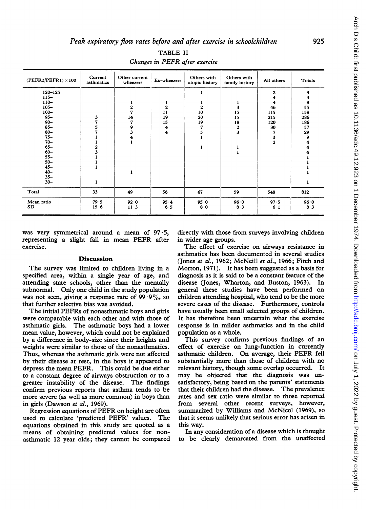$(PEFR2/PEFR1) \times 100$  Current Other current Ex-wheezers dtopic history family history All others Totals 120–125 | | | | | | | | | 2 | 3 115- 4 4 110- | | 1 | 1 | 1 | 1 | 4 | 8 105- 2 2 2 3 46 55 100- | | 7 | 11 | 10 | 15 | 115 | 158 95- 3 14 19 20 15 215 286 90- | 7 | 7 | 15 | 19 | 18 | 120 | 186 85- | 5 | 9 | 4 | 7 | 2 | 30 | 57 80- 7 3 4 5 3 7 29 75- <sup>1</sup> 4 <sup>1</sup> 3 9 70- <sup>1</sup> <sup>1</sup> 2 4 65- 2 <sup>1</sup> <sup>1</sup> 4 60- 3 <sup>1</sup> 4 55- <sup>1</sup> <sup>1</sup> 50- <sup>1</sup> <sup>1</sup> 45- <sup>1</sup> <sup>1</sup> 40- <sup>1</sup> <sup>1</sup>  $35-$ <br> $30-$ 30- <sup>1</sup> <sup>1</sup> Total 33 49 56 67 59 548 812 Mean ratio 79 \*5 92\*0 95 \*4 95 \*0 96\*0 97 \*5 96\*0 SD | 15-6 | 11-3 | 6-5 | 8-0 | 8-3 | 6-1 | 8-3

TABLE II Changes in PEFR after exercise

was very symmetrical around a mean of  $97.5$ , representing <sup>a</sup> slight fall in mean PEFR after exercise.

## Discussion

The survey was limited to children living in a specified area, within a single year of age, and attending state schools, other than the mentally subnormal. Only one child in the study population was not seen, giving a response rate of  $99.9\%$ , so that further selective bias was avoided.

The initial PEFRs of nonasthmatic boys and girls were comparable with each other and with those of asthmatic girls. The asthmatic boys had a lower mean value, however, which could not be explained by a difference in body-size since their heights and weights were similar to those of the nonasthmatics. Thus, whereas the asthmatic girls were not affected by their disease at rest, in the boys it appeared to depress the mean PEFR. This could be due either to a constant degree of airways obstruction or to a greater instability of the disease. The findings confirm previous reports that asthma tends to be more severe (as well as more common) in boys than in girls (Dawson et al., 1969).

Regression equations of PEFR on height are often used to calculate 'predicted PEFR' values. The equations obtained in this study are quoted as a means of obtaining predicted values for nonasthmatic 12 year olds; they cannot be compared

directly with those from surveys involving children in wider age groups.

The effect of exercise on airways resistance in asthmatics has been documented in several studies (Jones et al., 1962; McNeill et al., 1966; Fitch and Morton, 1971). It has been suggested as a basis for diagnosis as it is said to be a constant feature of the disease (Jones, Wharton, and Buston, 1963). In general these studies have been performed on children attending hospital, who tend to be the more severe cases of the disease. Furthermore, controls have usually been small selected groups of children. It has therefore been uncertain what the exercise response is in milder asthmatics and in the child population as a whole.

This survey confirms previous findings of an effect of exercise on lung-function in currently asthmatic children. On average, their PEFR fell substantially more than those of children with no relevant history, though some overlap occurred. It may be objected that the diagnosis was unsatisfactory, being based on the parents' statements that their children had the disease. The prevalence rates and sex ratio were similar to those reported from several other recent surveys, however, summarized by Williams and McNicol (1969), so that it seems unlikely that serious error has arisen in this way.

In any consideration of a disease which is thought to be clearly demarcated from the unaffected